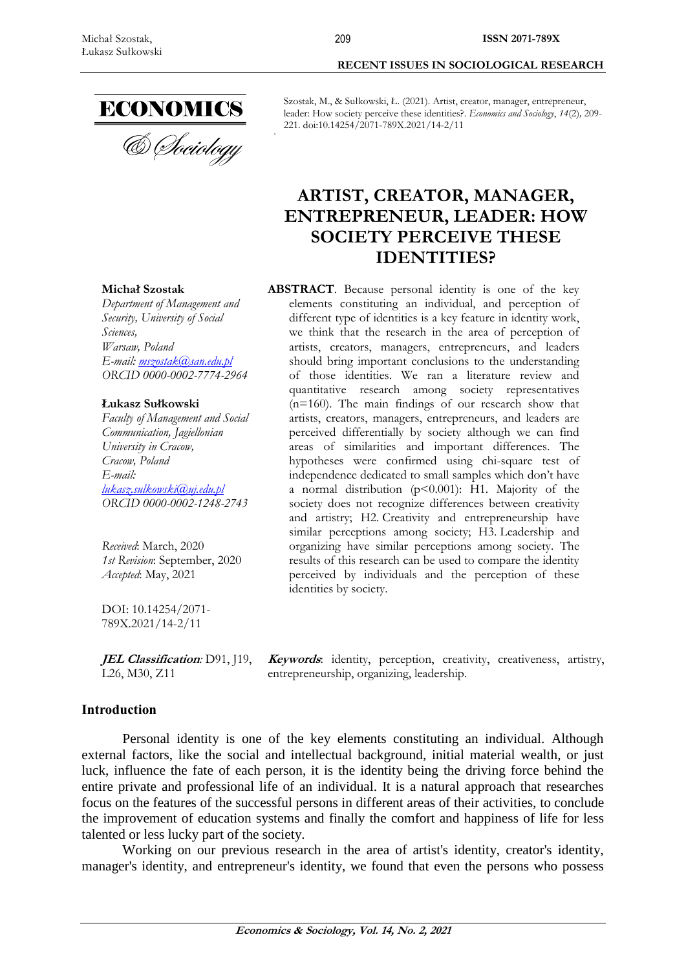

**Michał Szostak**

*Warsaw, Poland*

**Łukasz Sułkowski**

*Sciences,*

*Department of Management and Security, University of Social* 

*E-mail: [mszostak@san.edu.pl](mailto:mszostak@san.edu.pl) ORCID 0000-0002-7774-2964*

*Faculty of Management and Social Communication, Jagiellonian University in Cracow, Cracow, Poland E-mail:*

*lukasz.sulkowski@uj.edu.pl ORCID 0000-0002-1248-2743*

*Received*: March, 2020

DOI: 10.14254/2071- 789X.2021/14-2/11

*Accepted*: May, 2021

*1st Revision*: September, 2020

**RECENT ISSUES IN SOCIOLOGICAL RESEARCH**

Szostak, M., & Sułkowski, Ł. (2021). Artist, creator, manager, entrepreneur, leader: How society perceive these identities?. *Economics and Sociology*, *14*(2)*,* 209- 221. doi:10.14254/2071-789X.2021/14-2/11

# **ARTIST, CREATOR, MANAGER, ENTREPRENEUR, LEADER: HOW SOCIETY PERCEIVE THESE IDENTITIES?**

#### **ABSTRACT**. Because personal identity is one of the key elements constituting an individual, and perception of different type of identities is a key feature in identity work, we think that the research in the area of perception of artists, creators, managers, entrepreneurs, and leaders should bring important conclusions to the understanding of those identities. We ran a literature review and quantitative research among society representatives  $(n=160)$ . The main findings of our research show that artists, creators, managers, entrepreneurs, and leaders are perceived differentially by society although we can find areas of similarities and important differences. The hypotheses were confirmed using chi-square test of independence dedicated to small samples which don't have a normal distribution  $(p<0.001)$ : H1. Majority of the society does not recognize differences between creativity and artistry; H2. Creativity and entrepreneurship have similar perceptions among society; H3. Leadership and organizing have similar perceptions among society. The results of this research can be used to compare the identity perceived by individuals and the perception of these identities by society.

**JEL Classification***:* D91, J19, **Keywords**: identity, perception, creativity, creativeness, artistry, entrepreneurship, organizing, leadership.

## **Introduction**

L26, M30, Z11

Personal identity is one of the key elements constituting an individual. Although external factors, like the social and intellectual background, initial material wealth, or just luck, influence the fate of each person, it is the identity being the driving force behind the entire private and professional life of an individual. It is a natural approach that researches focus on the features of the successful persons in different areas of their activities, to conclude the improvement of education systems and finally the comfort and happiness of life for less talented or less lucky part of the society.

Working on our previous research in the area of artist's identity, creator's identity, manager's identity, and entrepreneur's identity, we found that even the persons who possess

209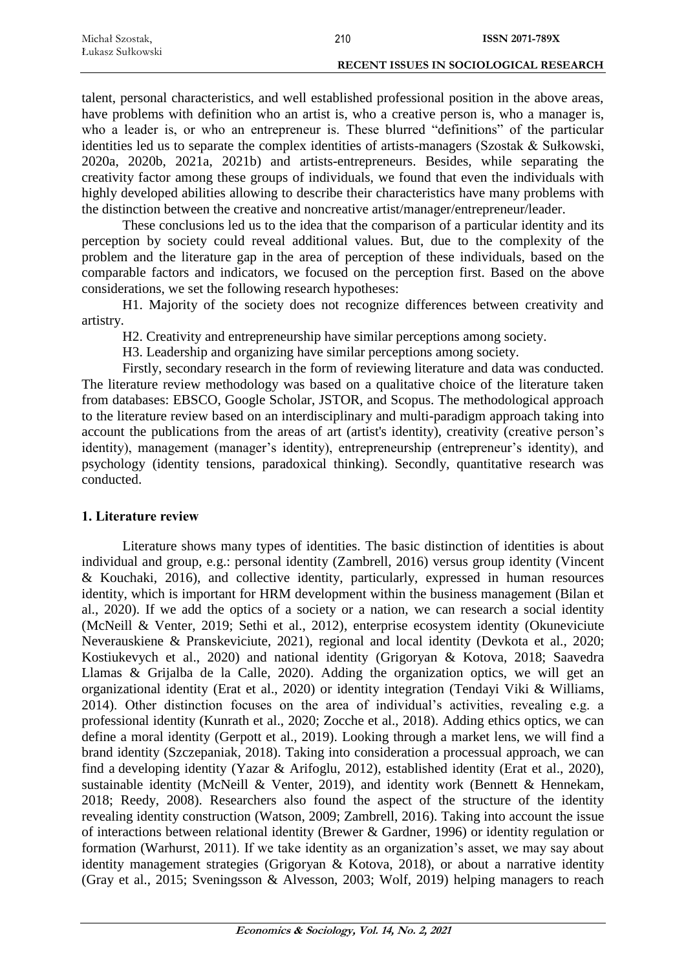| Michal Szostak,  | 210 | <b>ISSN 2071-789X</b>                         |
|------------------|-----|-----------------------------------------------|
| Łukasz Sułkowski |     |                                               |
|                  |     | <b>RECENT ISSUES IN SOCIOLOGICAL RESEARCH</b> |

talent, personal characteristics, and well established professional position in the above areas, have problems with definition who an artist is, who a creative person is, who a manager is, who a leader is, or who an entrepreneur is. These blurred "definitions" of the particular identities led us to separate the complex identities of artists-managers (Szostak & Sułkowski, 2020a, 2020b, 2021a, 2021b) and artists-entrepreneurs. Besides, while separating the creativity factor among these groups of individuals, we found that even the individuals with highly developed abilities allowing to describe their characteristics have many problems with the distinction between the creative and noncreative artist/manager/entrepreneur/leader.

These conclusions led us to the idea that the comparison of a particular identity and its perception by society could reveal additional values. But, due to the complexity of the problem and the literature gap in the area of perception of these individuals, based on the comparable factors and indicators, we focused on the perception first. Based on the above considerations, we set the following research hypotheses:

H1. Majority of the society does not recognize differences between creativity and artistry.

H2. Creativity and entrepreneurship have similar perceptions among society.

H3. Leadership and organizing have similar perceptions among society.

Firstly, secondary research in the form of reviewing literature and data was conducted. The literature review methodology was based on a qualitative choice of the literature taken from databases: EBSCO, Google Scholar, JSTOR, and Scopus. The methodological approach to the literature review based on an interdisciplinary and multi-paradigm approach taking into account the publications from the areas of art (artist's identity), creativity (creative person's identity), management (manager's identity), entrepreneurship (entrepreneur's identity), and psychology (identity tensions, paradoxical thinking). Secondly, quantitative research was conducted.

#### **1. Literature review**

Literature shows many types of identities. The basic distinction of identities is about individual and group, e.g.: personal identity (Zambrell, 2016) versus group identity (Vincent & Kouchaki, 2016), and collective identity, particularly, expressed in human resources identity, which is important for HRM development within the business management (Bilan et al., 2020). If we add the optics of a society or a nation, we can research a social identity (McNeill & Venter, 2019; Sethi et al., 2012), enterprise ecosystem identity (Okuneviciute Neverauskiene & Pranskeviciute, 2021), regional and local identity (Devkota et al., 2020; Kostiukevych et al., 2020) and national identity (Grigoryan & Kotova, 2018; Saavedra Llamas & Grijalba de la Calle, 2020). Adding the organization optics, we will get an organizational identity (Erat et al., 2020) or identity integration (Tendayi Viki & Williams, 2014). Other distinction focuses on the area of individual's activities, revealing e.g. a professional identity (Kunrath et al., 2020; Zocche et al., 2018). Adding ethics optics, we can define a moral identity (Gerpott et al., 2019). Looking through a market lens, we will find a brand identity (Szczepaniak, 2018). Taking into consideration a processual approach, we can find a developing identity (Yazar & Arifoglu, 2012), established identity (Erat et al., 2020), sustainable identity (McNeill & Venter, 2019), and identity work (Bennett & Hennekam, 2018; Reedy, 2008). Researchers also found the aspect of the structure of the identity revealing identity construction (Watson, 2009; Zambrell, 2016). Taking into account the issue of interactions between relational identity (Brewer & Gardner, 1996) or identity regulation or formation (Warhurst, 2011). If we take identity as an organization's asset, we may say about identity management strategies (Grigoryan & Kotova, 2018), or about a narrative identity (Gray et al., 2015; Sveningsson & Alvesson, 2003; Wolf, 2019) helping managers to reach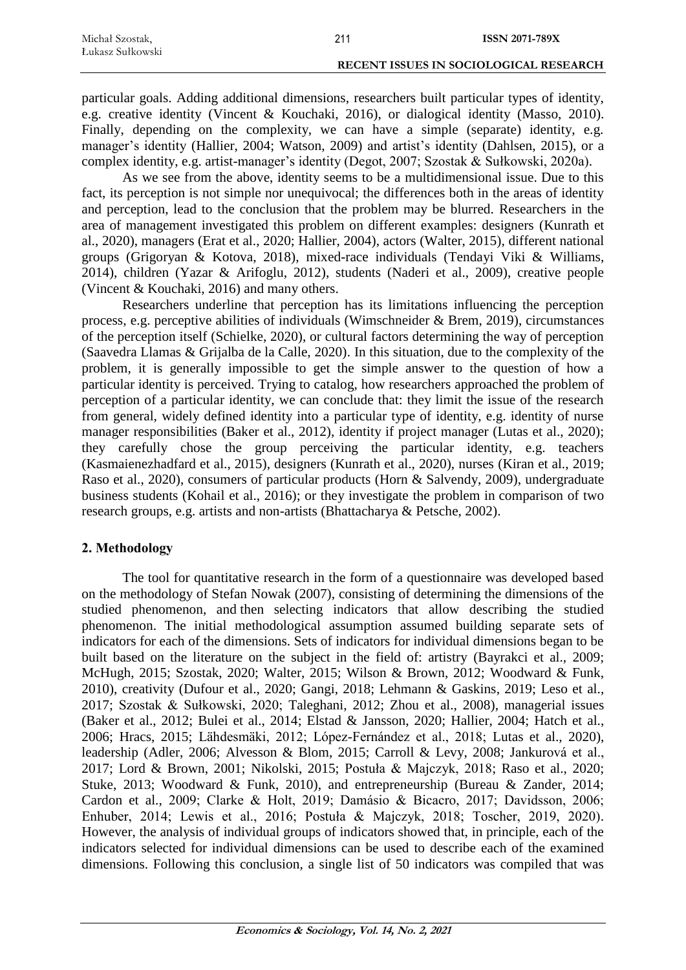| Michal Szostak,  | 211 | <b>ISSN 2071-789X</b>                  |
|------------------|-----|----------------------------------------|
| Łukasz Sułkowski |     |                                        |
|                  |     | RECENT ISSUES IN SOCIOLOGICAL RESEARCH |

particular goals. Adding additional dimensions, researchers built particular types of identity, e.g. creative identity (Vincent & Kouchaki, 2016), or dialogical identity (Masso, 2010). Finally, depending on the complexity, we can have a simple (separate) identity, e.g. manager's identity (Hallier, 2004; Watson, 2009) and artist's identity (Dahlsen, 2015), or a complex identity, e.g. artist-manager's identity (Degot, 2007; Szostak & Sułkowski, 2020a).

As we see from the above, identity seems to be a multidimensional issue. Due to this fact, its perception is not simple nor unequivocal; the differences both in the areas of identity and perception, lead to the conclusion that the problem may be blurred. Researchers in the area of management investigated this problem on different examples: designers (Kunrath et al., 2020), managers (Erat et al., 2020; Hallier, 2004), actors (Walter, 2015), different national groups (Grigoryan & Kotova, 2018), mixed-race individuals (Tendayi Viki & Williams, 2014), children (Yazar & Arifoglu, 2012), students (Naderi et al., 2009), creative people (Vincent & Kouchaki, 2016) and many others.

Researchers underline that perception has its limitations influencing the perception process, e.g. perceptive abilities of individuals (Wimschneider & Brem, 2019), circumstances of the perception itself (Schielke, 2020), or cultural factors determining the way of perception (Saavedra Llamas & Grijalba de la Calle, 2020). In this situation, due to the complexity of the problem, it is generally impossible to get the simple answer to the question of how a particular identity is perceived. Trying to catalog, how researchers approached the problem of perception of a particular identity, we can conclude that: they limit the issue of the research from general, widely defined identity into a particular type of identity, e.g. identity of nurse manager responsibilities (Baker et al., 2012), identity if project manager (Lutas et al., 2020); they carefully chose the group perceiving the particular identity, e.g. teachers (Kasmaienezhadfard et al., 2015), designers (Kunrath et al., 2020), nurses (Kiran et al., 2019; Raso et al., 2020), consumers of particular products (Horn & Salvendy, 2009), undergraduate business students (Kohail et al., 2016); or they investigate the problem in comparison of two research groups, e.g. artists and non-artists (Bhattacharya & Petsche, 2002).

## **2. Methodology**

The tool for quantitative research in the form of a questionnaire was developed based on the methodology of Stefan Nowak (2007), consisting of determining the dimensions of the studied phenomenon, and then selecting indicators that allow describing the studied phenomenon. The initial methodological assumption assumed building separate sets of indicators for each of the dimensions. Sets of indicators for individual dimensions began to be built based on the literature on the subject in the field of: artistry (Bayrakci et al., 2009; McHugh, 2015; Szostak, 2020; Walter, 2015; Wilson & Brown, 2012; Woodward & Funk, 2010), creativity (Dufour et al., 2020; Gangi, 2018; Lehmann & Gaskins, 2019; Leso et al., 2017; Szostak & Sułkowski, 2020; Taleghani, 2012; Zhou et al., 2008), managerial issues (Baker et al., 2012; Bulei et al., 2014; Elstad & Jansson, 2020; Hallier, 2004; Hatch et al., 2006; Hracs, 2015; Lähdesmäki, 2012; López-Fernández et al., 2018; Lutas et al., 2020), leadership (Adler, 2006; Alvesson & Blom, 2015; Carroll & Levy, 2008; Jankurová et al., 2017; Lord & Brown, 2001; Nikolski, 2015; Postuła & Majczyk, 2018; Raso et al., 2020; Stuke, 2013; Woodward & Funk, 2010), and entrepreneurship (Bureau & Zander, 2014; Cardon et al., 2009; Clarke & Holt, 2019; Damásio & Bicacro, 2017; Davidsson, 2006; Enhuber, 2014; Lewis et al., 2016; Postuła & Majczyk, 2018; Toscher, 2019, 2020). However, the analysis of individual groups of indicators showed that, in principle, each of the indicators selected for individual dimensions can be used to describe each of the examined dimensions. Following this conclusion, a single list of 50 indicators was compiled that was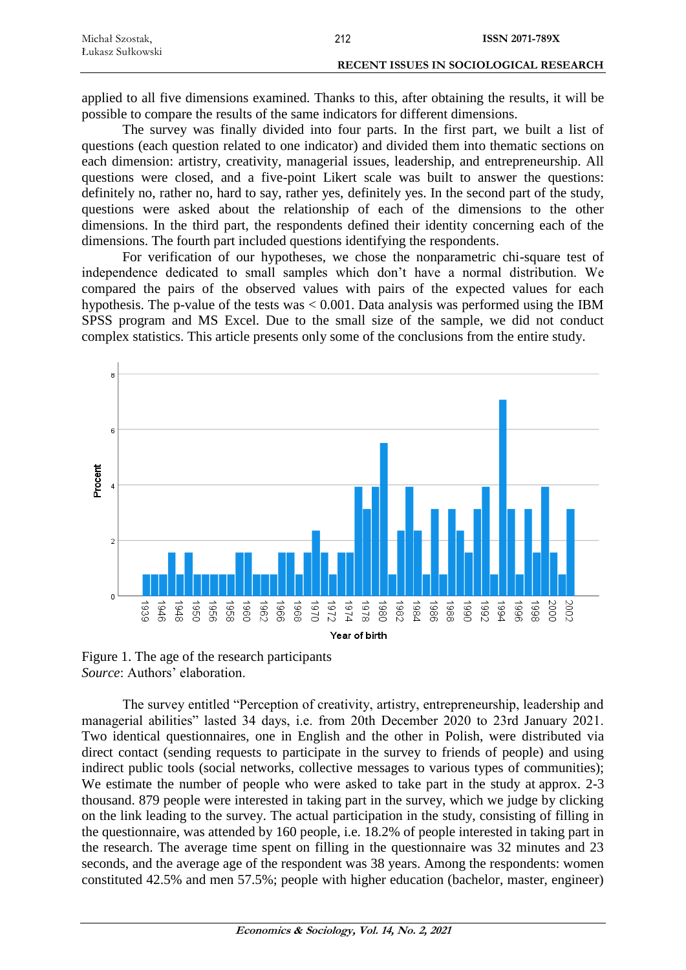| Michał Szostak,  | 212 | <b>ISSN 2071-789X</b>                  |
|------------------|-----|----------------------------------------|
| Łukasz Sułkowski |     |                                        |
|                  |     | RECENT ISSUES IN SOCIOLOGICAL RESEARCH |

applied to all five dimensions examined. Thanks to this, after obtaining the results, it will be possible to compare the results of the same indicators for different dimensions.

The survey was finally divided into four parts. In the first part, we built a list of questions (each question related to one indicator) and divided them into thematic sections on each dimension: artistry, creativity, managerial issues, leadership, and entrepreneurship. All questions were closed, and a five-point Likert scale was built to answer the questions: definitely no, rather no, hard to say, rather yes, definitely yes. In the second part of the study, questions were asked about the relationship of each of the dimensions to the other dimensions. In the third part, the respondents defined their identity concerning each of the dimensions. The fourth part included questions identifying the respondents.

For verification of our hypotheses, we chose the nonparametric chi-square test of independence dedicated to small samples which don't have a normal distribution. We compared the pairs of the observed values with pairs of the expected values for each hypothesis. The p-value of the tests was < 0.001. Data analysis was performed using the IBM SPSS program and MS Excel. Due to the small size of the sample, we did not conduct complex statistics. This article presents only some of the conclusions from the entire study.



Figure 1. The age of the research participants *Source*: Authors' elaboration.

The survey entitled "Perception of creativity, artistry, entrepreneurship, leadership and managerial abilities" lasted 34 days, i.e. from 20th December 2020 to 23rd January 2021. Two identical questionnaires, one in English and the other in Polish, were distributed via direct contact (sending requests to participate in the survey to friends of people) and using indirect public tools (social networks, collective messages to various types of communities); We estimate the number of people who were asked to take part in the study at approx. 2-3 thousand. 879 people were interested in taking part in the survey, which we judge by clicking on the link leading to the survey. The actual participation in the study, consisting of filling in the questionnaire, was attended by 160 people, i.e. 18.2% of people interested in taking part in the research. The average time spent on filling in the questionnaire was 32 minutes and 23 seconds, and the average age of the respondent was 38 years. Among the respondents: women constituted 42.5% and men 57.5%; people with higher education (bachelor, master, engineer)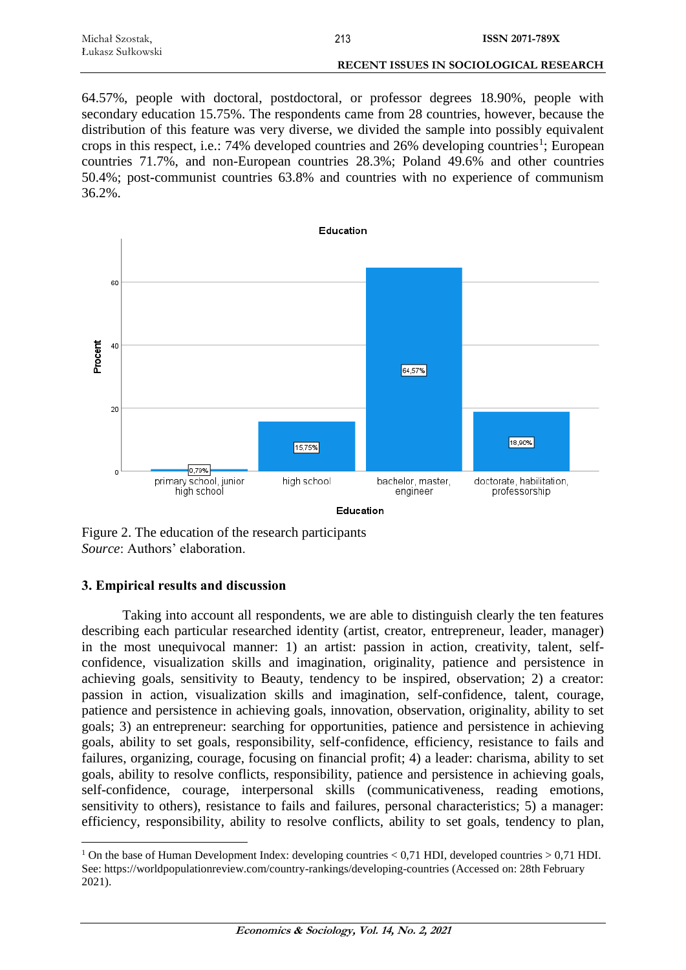| Michał Szostak,  | 213 | <b>ISSN 2071-789X</b>                  |
|------------------|-----|----------------------------------------|
| Łukasz Sułkowski |     |                                        |
|                  |     | RECENT ISSUES IN SOCIOLOGICAL RESEARCH |

64.57%, people with doctoral, postdoctoral, or professor degrees 18.90%, people with secondary education 15.75%. The respondents came from 28 countries, however, because the distribution of this feature was very diverse, we divided the sample into possibly equivalent crops in this respect, i.e.: 74% developed countries and 26% developing countries<sup>1</sup>; European countries 71.7%, and non-European countries 28.3%; Poland 49.6% and other countries 50.4%; post-communist countries 63.8% and countries with no experience of communism 36.2%.



Figure 2. The education of the research participants *Source*: Authors' elaboration.

#### **3. Empirical results and discussion**

 $\overline{a}$ 

Taking into account all respondents, we are able to distinguish clearly the ten features describing each particular researched identity (artist, creator, entrepreneur, leader, manager) in the most unequivocal manner: 1) an artist: passion in action, creativity, talent, selfconfidence, visualization skills and imagination, originality, patience and persistence in achieving goals, sensitivity to Beauty, tendency to be inspired, observation; 2) a creator: passion in action, visualization skills and imagination, self-confidence, talent, courage, patience and persistence in achieving goals, innovation, observation, originality, ability to set goals; 3) an entrepreneur: searching for opportunities, patience and persistence in achieving goals, ability to set goals, responsibility, self-confidence, efficiency, resistance to fails and failures, organizing, courage, focusing on financial profit; 4) a leader: charisma, ability to set goals, ability to resolve conflicts, responsibility, patience and persistence in achieving goals, self-confidence, courage, interpersonal skills (communicativeness, reading emotions, sensitivity to others), resistance to fails and failures, personal characteristics; 5) a manager: efficiency, responsibility, ability to resolve conflicts, ability to set goals, tendency to plan,

<sup>&</sup>lt;sup>1</sup> On the base of Human Development Index: developing countries  $< 0.71$  HDI, developed countries  $> 0.71$  HDI. See: https://worldpopulationreview.com/country-rankings/developing-countries (Accessed on: 28th February 2021).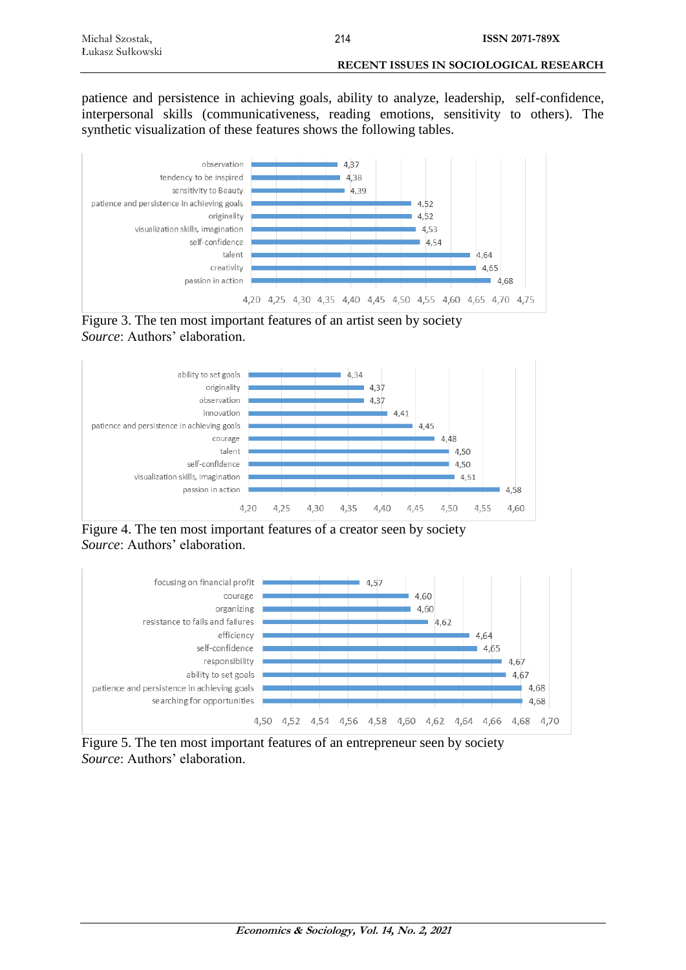| Michał Szostak,  | 214 | <b>ISSN 2071-789X</b>                  |
|------------------|-----|----------------------------------------|
| Łukasz Sułkowski |     |                                        |
|                  |     | RECENT ISSUES IN SOCIOLOGICAL RESEARCH |

patience and persistence in achieving goals, ability to analyze, leadership, self-confidence, interpersonal skills (communicativeness, reading emotions, sensitivity to others). The synthetic visualization of these features shows the following tables.



Figure 3. The ten most important features of an artist seen by society *Source*: Authors' elaboration.



Figure 4. The ten most important features of a creator seen by society *Source*: Authors' elaboration.



Figure 5. The ten most important features of an entrepreneur seen by society *Source*: Authors' elaboration.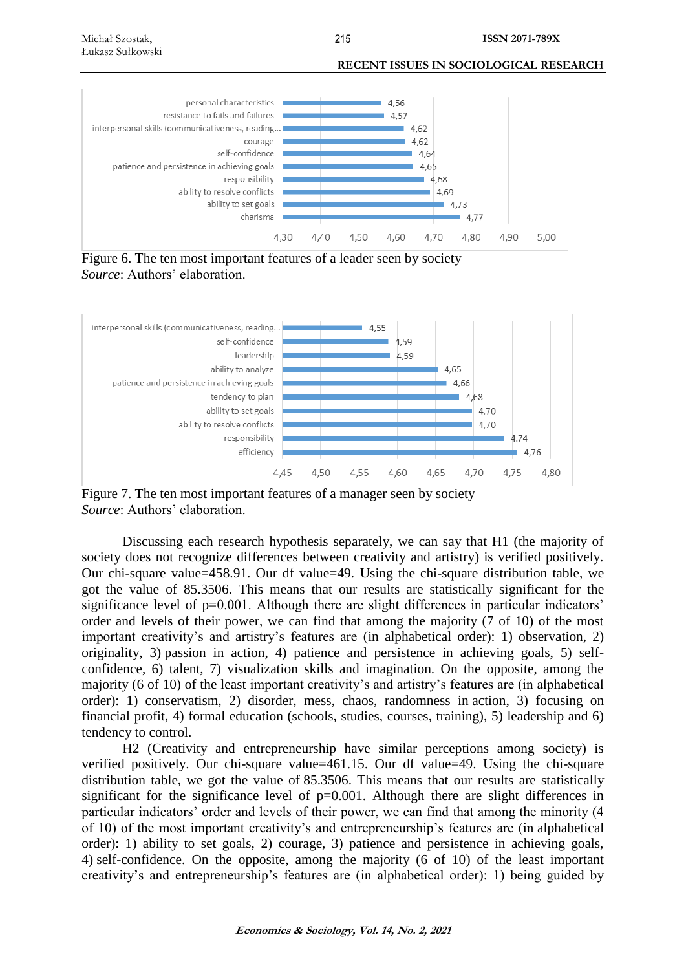**RECENT ISSUES IN SOCIOLOGICAL RESEARCH**



Figure 6. The ten most important features of a leader seen by society *Source*: Authors' elaboration.



Figure 7. The ten most important features of a manager seen by society *Source*: Authors' elaboration.

Discussing each research hypothesis separately, we can say that H1 (the majority of society does not recognize differences between creativity and artistry) is verified positively. Our chi-square value=458.91. Our df value=49. Using the chi-square distribution table, we got the value of 85.3506. This means that our results are statistically significant for the significance level of p=0.001. Although there are slight differences in particular indicators' order and levels of their power, we can find that among the majority (7 of 10) of the most important creativity's and artistry's features are (in alphabetical order): 1) observation, 2) originality, 3) passion in action, 4) patience and persistence in achieving goals, 5) selfconfidence, 6) talent, 7) visualization skills and imagination. On the opposite, among the majority (6 of 10) of the least important creativity's and artistry's features are (in alphabetical order): 1) conservatism, 2) disorder, mess, chaos, randomness in action, 3) focusing on financial profit, 4) formal education (schools, studies, courses, training), 5) leadership and 6) tendency to control.

H2 (Creativity and entrepreneurship have similar perceptions among society) is verified positively. Our chi-square value=461.15. Our df value=49. Using the chi-square distribution table, we got the value of 85.3506. This means that our results are statistically significant for the significance level of  $p=0.001$ . Although there are slight differences in particular indicators' order and levels of their power, we can find that among the minority (4 of 10) of the most important creativity's and entrepreneurship's features are (in alphabetical order): 1) ability to set goals, 2) courage, 3) patience and persistence in achieving goals, 4) self-confidence. On the opposite, among the majority (6 of 10) of the least important creativity's and entrepreneurship's features are (in alphabetical order): 1) being guided by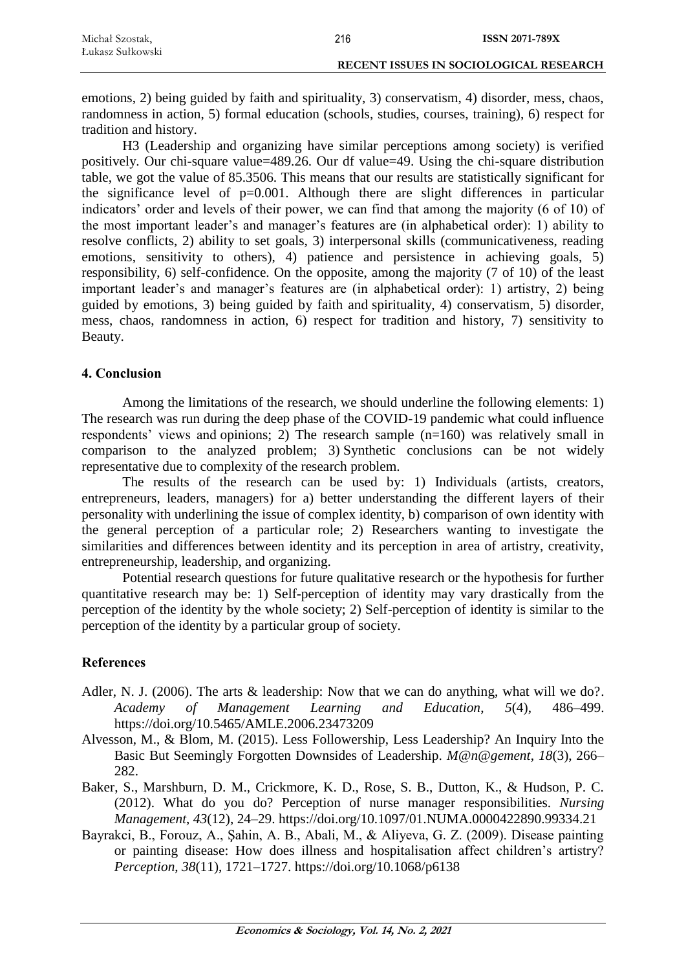| Michal Szostak,  | 216 | <b>ISSN 2071-789X</b>                         |
|------------------|-----|-----------------------------------------------|
| Łukasz Sułkowski |     |                                               |
|                  |     | <b>RECENT ISSUES IN SOCIOLOGICAL RESEARCH</b> |

emotions, 2) being guided by faith and spirituality, 3) conservatism, 4) disorder, mess, chaos, randomness in action, 5) formal education (schools, studies, courses, training), 6) respect for tradition and history.

H3 (Leadership and organizing have similar perceptions among society) is verified positively. Our chi-square value=489.26. Our df value=49. Using the chi-square distribution table, we got the value of 85.3506. This means that our results are statistically significant for the significance level of  $p=0.001$ . Although there are slight differences in particular indicators' order and levels of their power, we can find that among the majority (6 of 10) of the most important leader's and manager's features are (in alphabetical order): 1) ability to resolve conflicts, 2) ability to set goals, 3) interpersonal skills (communicativeness, reading emotions, sensitivity to others), 4) patience and persistence in achieving goals, 5) responsibility, 6) self-confidence. On the opposite, among the majority (7 of 10) of the least important leader's and manager's features are (in alphabetical order): 1) artistry, 2) being guided by emotions, 3) being guided by faith and spirituality, 4) conservatism, 5) disorder, mess, chaos, randomness in action, 6) respect for tradition and history, 7) sensitivity to Beauty.

### **4. Conclusion**

Among the limitations of the research, we should underline the following elements: 1) The research was run during the deep phase of the COVID-19 pandemic what could influence respondents' views and opinions; 2) The research sample (n=160) was relatively small in comparison to the analyzed problem; 3) Synthetic conclusions can be not widely representative due to complexity of the research problem.

The results of the research can be used by: 1) Individuals (artists, creators, entrepreneurs, leaders, managers) for a) better understanding the different layers of their personality with underlining the issue of complex identity, b) comparison of own identity with the general perception of a particular role; 2) Researchers wanting to investigate the similarities and differences between identity and its perception in area of artistry, creativity, entrepreneurship, leadership, and organizing.

Potential research questions for future qualitative research or the hypothesis for further quantitative research may be: 1) Self-perception of identity may vary drastically from the perception of the identity by the whole society; 2) Self-perception of identity is similar to the perception of the identity by a particular group of society.

## **References**

- Adler, N. J. (2006). The arts & leadership: Now that we can do anything, what will we do?. *Academy of Management Learning and Education*, *5*(4), 486–499. https://doi.org/10.5465/AMLE.2006.23473209
- Alvesson, M., & Blom, M. (2015). Less Followership, Less Leadership? An Inquiry Into the Basic But Seemingly Forgotten Downsides of Leadership. *M@n@gement*, *18*(3), 266– 282.
- Baker, S., Marshburn, D. M., Crickmore, K. D., Rose, S. B., Dutton, K., & Hudson, P. C. (2012). What do you do? Perception of nurse manager responsibilities. *Nursing Management*, *43*(12), 24–29. https://doi.org/10.1097/01.NUMA.0000422890.99334.21
- Bayrakci, B., Forouz, A., Şahin, A. B., Abali, M., & Aliyeva, G. Z. (2009). Disease painting or painting disease: How does illness and hospitalisation affect children's artistry? *Perception*, *38*(11), 1721–1727. https://doi.org/10.1068/p6138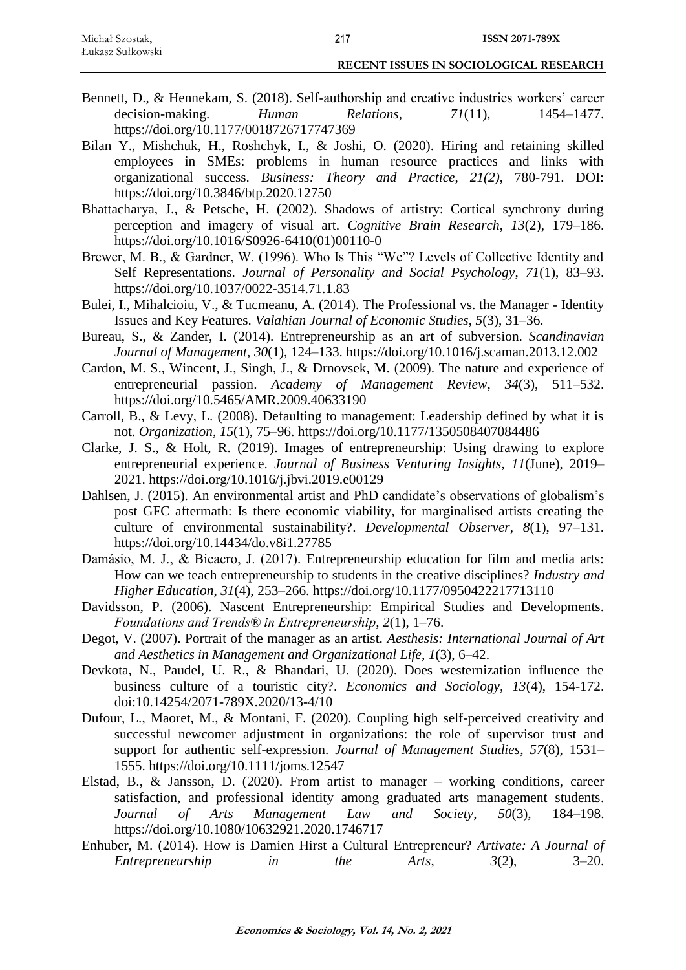- Bennett, D., & Hennekam, S. (2018). Self-authorship and creative industries workers' career decision-making. *Human Relations*, *71*(11), 1454–1477. https://doi.org/10.1177/0018726717747369
- Bilan Y., Mishchuk, H., Roshchyk, I., & Joshi, O. (2020). Hiring and retaining skilled employees in SMEs: problems in human resource practices and links with organizational success. *Business: Theory and Practice*, *21(2)*, 780-791. DOI: https://doi.org/10.3846/btp.2020.12750
- Bhattacharya, J., & Petsche, H. (2002). Shadows of artistry: Cortical synchrony during perception and imagery of visual art. *Cognitive Brain Research*, *13*(2), 179–186. https://doi.org/10.1016/S0926-6410(01)00110-0
- Brewer, M. B., & Gardner, W. (1996). Who Is This "We"? Levels of Collective Identity and Self Representations. *Journal of Personality and Social Psychology*, *71*(1), 83–93. https://doi.org/10.1037/0022-3514.71.1.83
- Bulei, I., Mihalcioiu, V., & Tucmeanu, A. (2014). The Professional vs. the Manager Identity Issues and Key Features. *Valahian Journal of Economic Studies*, *5*(3), 31–36.
- Bureau, S., & Zander, I. (2014). Entrepreneurship as an art of subversion. *Scandinavian Journal of Management*, *30*(1), 124–133. https://doi.org/10.1016/j.scaman.2013.12.002
- Cardon, M. S., Wincent, J., Singh, J., & Drnovsek, M. (2009). The nature and experience of entrepreneurial passion. *Academy of Management Review*, *34*(3), 511–532. https://doi.org/10.5465/AMR.2009.40633190
- Carroll, B., & Levy, L. (2008). Defaulting to management: Leadership defined by what it is not. *Organization*, *15*(1), 75–96. https://doi.org/10.1177/1350508407084486
- Clarke, J. S., & Holt, R. (2019). Images of entrepreneurship: Using drawing to explore entrepreneurial experience. *Journal of Business Venturing Insights*, *11*(June), 2019– 2021. https://doi.org/10.1016/j.jbvi.2019.e00129
- Dahlsen, J. (2015). An environmental artist and PhD candidate's observations of globalism's post GFC aftermath: Is there economic viability, for marginalised artists creating the culture of environmental sustainability?. *Developmental Observer*, *8*(1), 97–131. https://doi.org/10.14434/do.v8i1.27785
- Damásio, M. J., & Bicacro, J. (2017). Entrepreneurship education for film and media arts: How can we teach entrepreneurship to students in the creative disciplines? *Industry and Higher Education*, *31*(4), 253–266. https://doi.org/10.1177/0950422217713110
- Davidsson, P. (2006). Nascent Entrepreneurship: Empirical Studies and Developments. *Foundations and Trends® in Entrepreneurship*, *2*(1), 1–76.
- Degot, V. (2007). Portrait of the manager as an artist. *Aesthesis: International Journal of Art and Aesthetics in Management and Organizational Life*, *1*(3), 6–42.
- Devkota, N., Paudel, U. R., & Bhandari, U. (2020). Does westernization influence the business culture of a touristic city?. *Economics and Sociology, 13*(4), 154-172. doi:10.14254/2071-789X.2020/13-4/10
- Dufour, L., Maoret, M., & Montani, F. (2020). Coupling high self-perceived creativity and successful newcomer adjustment in organizations: the role of supervisor trust and support for authentic self-expression. *Journal of Management Studies*, *57*(8), 1531– 1555. https://doi.org/10.1111/joms.12547
- Elstad, B., & Jansson, D. (2020). From artist to manager working conditions, career satisfaction, and professional identity among graduated arts management students. *Journal of Arts Management Law and Society*, *50*(3), 184–198. https://doi.org/10.1080/10632921.2020.1746717
- Enhuber, M. (2014). How is Damien Hirst a Cultural Entrepreneur? *Artivate: A Journal of Entrepreneurship in the Arts*, *3*(2), 3–20.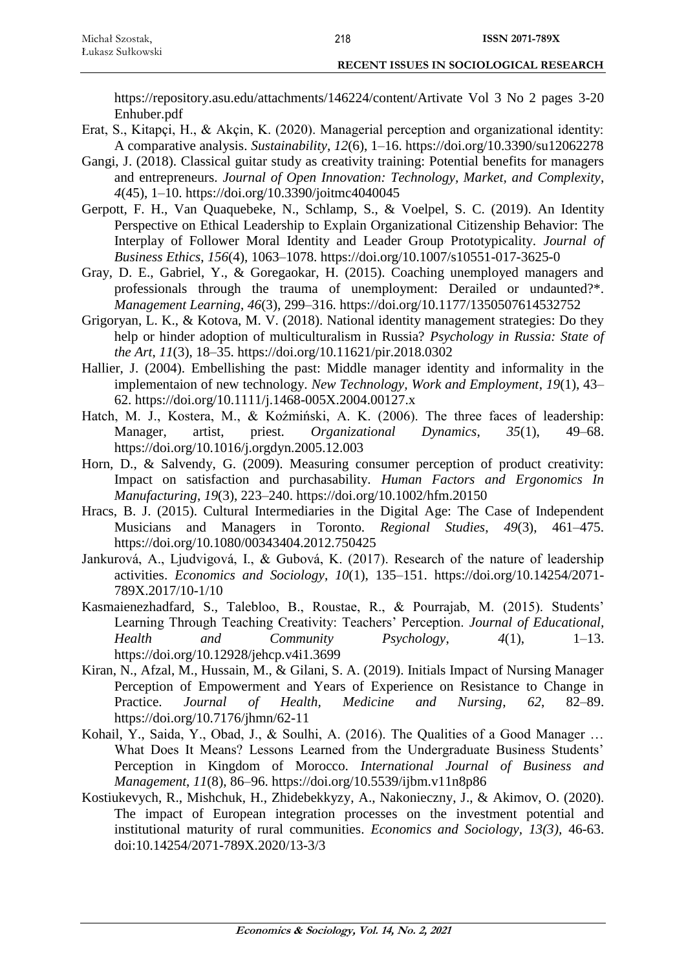https://repository.asu.edu/attachments/146224/content/Artivate Vol 3 No 2 pages 3-20 Enhuber.pdf

- Erat, S., Kitapçi, H., & Akçin, K. (2020). Managerial perception and organizational identity: A comparative analysis. *Sustainability*, *12*(6), 1–16. https://doi.org/10.3390/su12062278
- Gangi, J. (2018). Classical guitar study as creativity training: Potential benefits for managers and entrepreneurs. *Journal of Open Innovation: Technology, Market, and Complexity*, *4*(45), 1–10. https://doi.org/10.3390/joitmc4040045
- Gerpott, F. H., Van Quaquebeke, N., Schlamp, S., & Voelpel, S. C. (2019). An Identity Perspective on Ethical Leadership to Explain Organizational Citizenship Behavior: The Interplay of Follower Moral Identity and Leader Group Prototypicality. *Journal of Business Ethics*, *156*(4), 1063–1078. https://doi.org/10.1007/s10551-017-3625-0
- Gray, D. E., Gabriel, Y., & Goregaokar, H. (2015). Coaching unemployed managers and professionals through the trauma of unemployment: Derailed or undaunted?\*. *Management Learning*, *46*(3), 299–316. https://doi.org/10.1177/1350507614532752
- Grigoryan, L. K., & Kotova, M. V. (2018). National identity management strategies: Do they help or hinder adoption of multiculturalism in Russia? *Psychology in Russia: State of the Art*, *11*(3), 18–35. https://doi.org/10.11621/pir.2018.0302
- Hallier, J. (2004). Embellishing the past: Middle manager identity and informality in the implementaion of new technology. *New Technology, Work and Employment*, *19*(1), 43– 62. https://doi.org/10.1111/j.1468-005X.2004.00127.x
- Hatch, M. J., Kostera, M., & Koźmiński, A. K. (2006). The three faces of leadership: Manager, artist, priest. *Organizational Dynamics*, *35*(1), 49–68. https://doi.org/10.1016/j.orgdyn.2005.12.003
- Horn, D., & Salvendy, G. (2009). Measuring consumer perception of product creativity: Impact on satisfaction and purchasability. *Human Factors and Ergonomics In Manufacturing*, *19*(3), 223–240. https://doi.org/10.1002/hfm.20150
- Hracs, B. J. (2015). Cultural Intermediaries in the Digital Age: The Case of Independent Musicians and Managers in Toronto. *Regional Studies*, *49*(3), 461–475. https://doi.org/10.1080/00343404.2012.750425
- Jankurová, A., Ljudvigová, I., & Gubová, K. (2017). Research of the nature of leadership activities. *Economics and Sociology*, *10*(1), 135–151. https://doi.org/10.14254/2071- 789X.2017/10-1/10
- Kasmaienezhadfard, S., Talebloo, B., Roustae, R., & Pourrajab, M. (2015). Students' Learning Through Teaching Creativity: Teachers' Perception. *Journal of Educational, Health and Community Psychology*, *4*(1), 1–13. https://doi.org/10.12928/jehcp.v4i1.3699
- Kiran, N., Afzal, M., Hussain, M., & Gilani, S. A. (2019). Initials Impact of Nursing Manager Perception of Empowerment and Years of Experience on Resistance to Change in Practice. *Journal of Health, Medicine and Nursing*, *62*, 82–89. https://doi.org/10.7176/jhmn/62-11
- Kohail, Y., Saida, Y., Obad, J., & Soulhi, A. (2016). The Qualities of a Good Manager … What Does It Means? Lessons Learned from the Undergraduate Business Students' Perception in Kingdom of Morocco. *International Journal of Business and Management*, *11*(8), 86–96. https://doi.org/10.5539/ijbm.v11n8p86
- Kostiukevych, R., Mishchuk, H., Zhidebekkyzy, A., Nakonieczny, J., & Akimov, O. (2020). The impact of European integration processes on the investment potential and institutional maturity of rural communities. *Economics and Sociology, 13(3),* 46-63. doi:10.14254/2071-789X.2020/13-3/3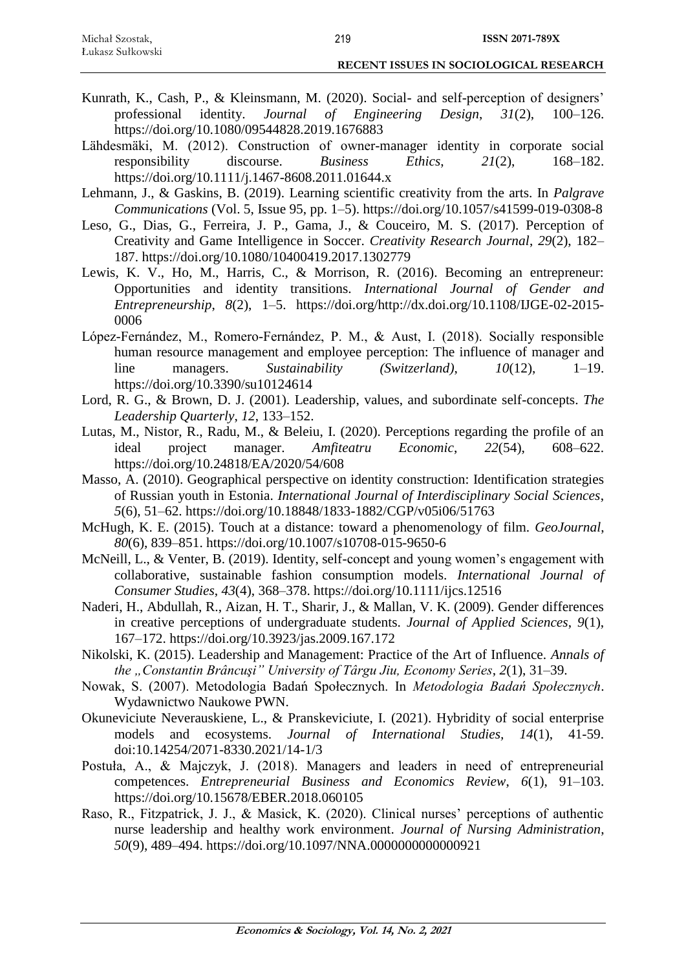- Kunrath, K., Cash, P., & Kleinsmann, M. (2020). Social- and self-perception of designers' professional identity. *Journal of Engineering Design*, *31*(2), 100–126. https://doi.org/10.1080/09544828.2019.1676883
- Lähdesmäki, M. (2012). Construction of owner-manager identity in corporate social responsibility discourse. *Business Ethics*, *21*(2), 168–182. https://doi.org/10.1111/j.1467-8608.2011.01644.x
- Lehmann, J., & Gaskins, B. (2019). Learning scientific creativity from the arts. In *Palgrave Communications* (Vol. 5, Issue 95, pp. 1–5). https://doi.org/10.1057/s41599-019-0308-8
- Leso, G., Dias, G., Ferreira, J. P., Gama, J., & Couceiro, M. S. (2017). Perception of Creativity and Game Intelligence in Soccer. *Creativity Research Journal*, *29*(2), 182– 187. https://doi.org/10.1080/10400419.2017.1302779
- Lewis, K. V., Ho, M., Harris, C., & Morrison, R. (2016). Becoming an entrepreneur: Opportunities and identity transitions. *International Journal of Gender and Entrepreneurship*, *8*(2), 1–5. https://doi.org/http://dx.doi.org/10.1108/IJGE-02-2015- 0006
- López-Fernández, M., Romero-Fernández, P. M., & Aust, I. (2018). Socially responsible human resource management and employee perception: The influence of manager and line managers. *Sustainability (Switzerland)*, *10*(12), 1–19. https://doi.org/10.3390/su10124614
- Lord, R. G., & Brown, D. J. (2001). Leadership, values, and subordinate self-concepts. *The Leadership Quarterly*, *12*, 133–152.
- Lutas, M., Nistor, R., Radu, M., & Beleiu, I. (2020). Perceptions regarding the profile of an ideal project manager. *Amfiteatru Economic*, *22*(54), 608–622. https://doi.org/10.24818/EA/2020/54/608
- Masso, A. (2010). Geographical perspective on identity construction: Identification strategies of Russian youth in Estonia. *International Journal of Interdisciplinary Social Sciences*, *5*(6), 51–62. https://doi.org/10.18848/1833-1882/CGP/v05i06/51763
- McHugh, K. E. (2015). Touch at a distance: toward a phenomenology of film. *GeoJournal*, *80*(6), 839–851. https://doi.org/10.1007/s10708-015-9650-6
- McNeill, L., & Venter, B. (2019). Identity, self-concept and young women's engagement with collaborative, sustainable fashion consumption models. *International Journal of Consumer Studies*, *43*(4), 368–378. https://doi.org/10.1111/ijcs.12516
- Naderi, H., Abdullah, R., Aizan, H. T., Sharir, J., & Mallan, V. K. (2009). Gender differences in creative perceptions of undergraduate students. *Journal of Applied Sciences*, *9*(1), 167–172. https://doi.org/10.3923/jas.2009.167.172
- Nikolski, K. (2015). Leadership and Management: Practice of the Art of Influence. *Annals of the "Constantin Brâncuşi" University of Târgu Jiu, Economy Series*, *2*(1), 31–39.
- Nowak, S. (2007). Metodologia Badań Społecznych. In *Metodologia Badań Społecznych*. Wydawnictwo Naukowe PWN.
- Okuneviciute Neverauskiene, L., & Pranskeviciute, I. (2021). Hybridity of social enterprise models and ecosystems. *Journal of International Studies, 14*(1), 41-59. doi:10.14254/2071-8330.2021/14-1/3
- Postuła, A., & Majczyk, J. (2018). Managers and leaders in need of entrepreneurial competences. *Entrepreneurial Business and Economics Review*, *6*(1), 91–103. https://doi.org/10.15678/EBER.2018.060105
- Raso, R., Fitzpatrick, J. J., & Masick, K. (2020). Clinical nurses' perceptions of authentic nurse leadership and healthy work environment. *Journal of Nursing Administration*, *50*(9), 489–494. https://doi.org/10.1097/NNA.0000000000000921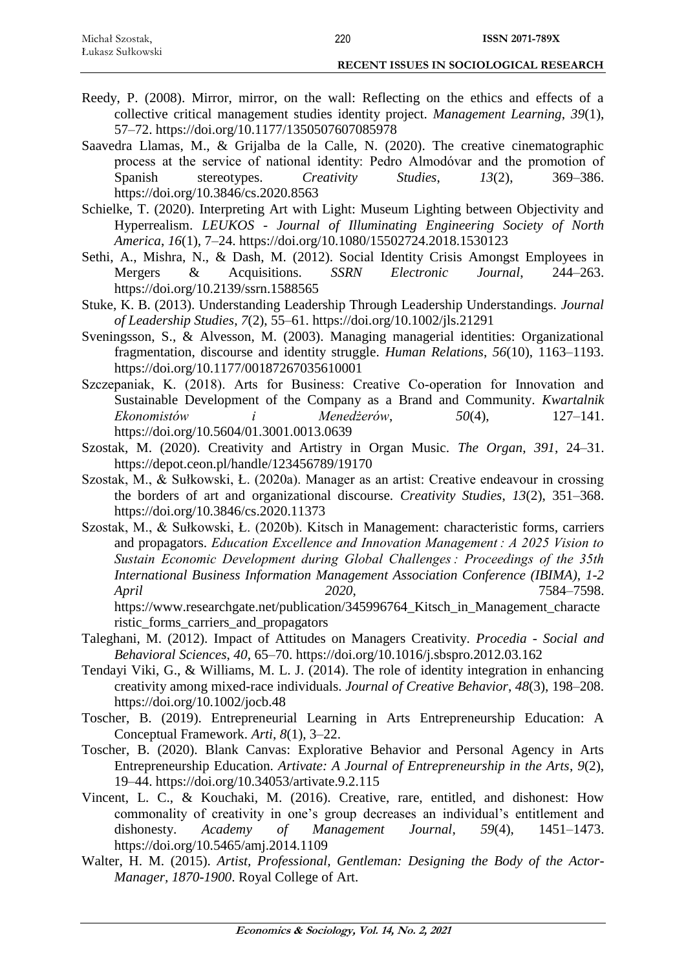| Michał Szostak,  |  |  |
|------------------|--|--|
| Łukasz Sułkowski |  |  |

- Reedy, P. (2008). Mirror, mirror, on the wall: Reflecting on the ethics and effects of a collective critical management studies identity project. *Management Learning*, *39*(1), 57–72. https://doi.org/10.1177/1350507607085978
- Saavedra Llamas, M., & Grijalba de la Calle, N. (2020). The creative cinematographic process at the service of national identity: Pedro Almodóvar and the promotion of Spanish stereotypes. *Creativity Studies*, *13*(2), 369–386. https://doi.org/10.3846/cs.2020.8563
- Schielke, T. (2020). Interpreting Art with Light: Museum Lighting between Objectivity and Hyperrealism. *LEUKOS - Journal of Illuminating Engineering Society of North America*, *16*(1), 7–24. https://doi.org/10.1080/15502724.2018.1530123
- Sethi, A., Mishra, N., & Dash, M. (2012). Social Identity Crisis Amongst Employees in Mergers & Acquisitions. *SSRN Electronic Journal*, 244–263. https://doi.org/10.2139/ssrn.1588565
- Stuke, K. B. (2013). Understanding Leadership Through Leadership Understandings. *Journal of Leadership Studies*, *7*(2), 55–61. https://doi.org/10.1002/jls.21291
- Sveningsson, S., & Alvesson, M. (2003). Managing managerial identities: Organizational fragmentation, discourse and identity struggle. *Human Relations*, *56*(10), 1163–1193. https://doi.org/10.1177/00187267035610001
- Szczepaniak, K. (2018). Arts for Business: Creative Co-operation for Innovation and Sustainable Development of the Company as a Brand and Community. *Kwartalnik Ekonomistów i Menedżerów*, *50*(4), 127–141. https://doi.org/10.5604/01.3001.0013.0639
- Szostak, M. (2020). Creativity and Artistry in Organ Music. *The Organ*, *391*, 24–31. https://depot.ceon.pl/handle/123456789/19170
- Szostak, M., & Sułkowski, Ł. (2020a). Manager as an artist: Creative endeavour in crossing the borders of art and organizational discourse. *Creativity Studies*, *13*(2), 351–368. https://doi.org/10.3846/cs.2020.11373
- Szostak, M., & Sułkowski, Ł. (2020b). Kitsch in Management: characteristic forms, carriers and propagators. *Education Excellence and Innovation Management : A 2025 Vision to Sustain Economic Development during Global Challenges : Proceedings of the 35th International Business Information Management Association Conference (IBIMA)*, *1*-*2 April 2020*, 7584–7598. https://www.researchgate.net/publication/345996764\_Kitsch\_in\_Management\_characte ristic\_forms\_carriers\_and\_propagators
- Taleghani, M. (2012). Impact of Attitudes on Managers Creativity. *Procedia - Social and Behavioral Sciences*, *40*, 65–70. https://doi.org/10.1016/j.sbspro.2012.03.162
- Tendayi Viki, G., & Williams, M. L. J. (2014). The role of identity integration in enhancing creativity among mixed-race individuals. *Journal of Creative Behavior*, *48*(3), 198–208. https://doi.org/10.1002/jocb.48
- Toscher, B. (2019). Entrepreneurial Learning in Arts Entrepreneurship Education: A Conceptual Framework. *Arti*, *8*(1), 3–22.
- Toscher, B. (2020). Blank Canvas: Explorative Behavior and Personal Agency in Arts Entrepreneurship Education. *Artivate: A Journal of Entrepreneurship in the Arts*, *9*(2), 19–44. https://doi.org/10.34053/artivate.9.2.115
- Vincent, L. C., & Kouchaki, M. (2016). Creative, rare, entitled, and dishonest: How commonality of creativity in one's group decreases an individual's entitlement and dishonesty. *Academy of Management Journal*, *59*(4), 1451–1473. https://doi.org/10.5465/amj.2014.1109
- Walter, H. M. (2015). *Artist, Professional, Gentleman: Designing the Body of the Actor-Manager, 1870-1900*. Royal College of Art.